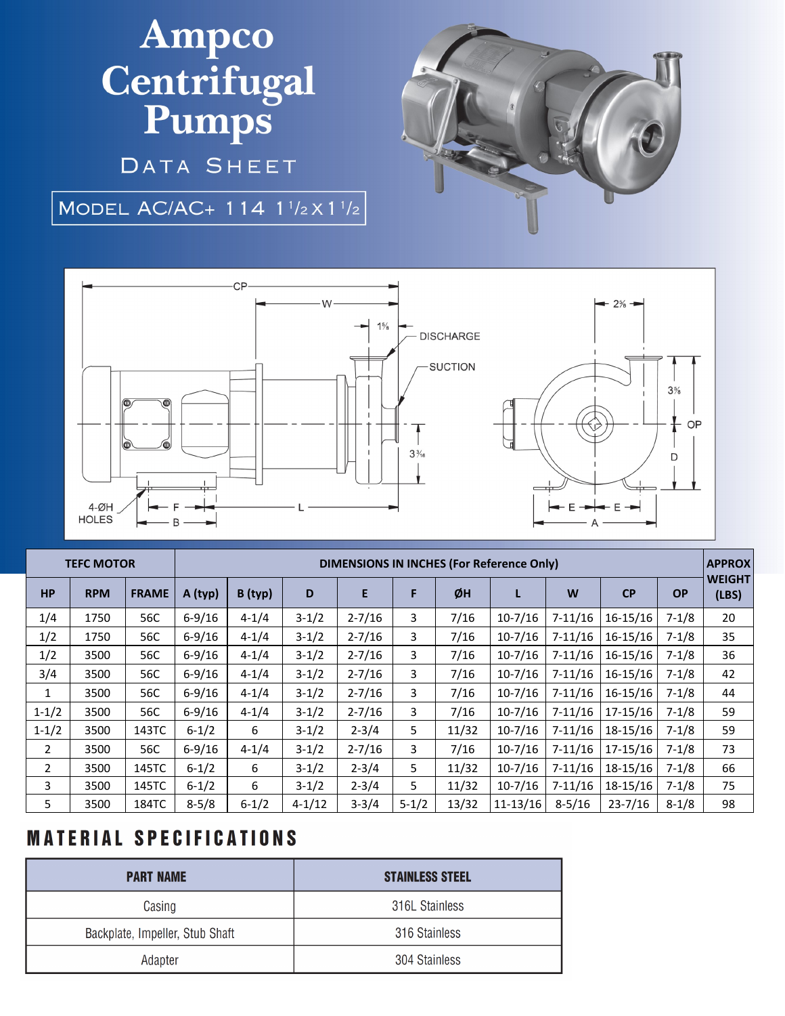# Ampco Centrifugal<br>Pumps

DATA SHEET

#### MODEL AC/AC+ 114  $1^{1/2} \times 1^{1/2}$





| <b>TEFC MOTOR</b> |            |              | DIMENSIONS IN INCHES (For Reference Only) |           |            |            |           |       |              |             |              |           | <b>APPROX</b>          |
|-------------------|------------|--------------|-------------------------------------------|-----------|------------|------------|-----------|-------|--------------|-------------|--------------|-----------|------------------------|
| <b>HP</b>         | <b>RPM</b> | <b>FRAME</b> | A (typ)                                   | B (typ)   | D          | E          | F         | ØH    | L            | W           | CP           | <b>OP</b> | <b>WEIGHT</b><br>(LBS) |
| 1/4               | 1750       | 56C          | $6 - 9/16$                                | $4 - 1/4$ | $3-1/2$    | $2 - 7/16$ | 3         | 7/16  | $10-7/16$    | $7 - 11/16$ | $16 - 15/16$ | $7 - 1/8$ | 20                     |
| 1/2               | 1750       | 56C          | $6 - 9/16$                                | $4 - 1/4$ | $3-1/2$    | $2 - 7/16$ | 3         | 7/16  | $10-7/16$    | $7 - 11/16$ | $16 - 15/16$ | $7 - 1/8$ | 35                     |
| 1/2               | 3500       | 56C          | $6 - 9/16$                                | $4 - 1/4$ | $3-1/2$    | $2 - 7/16$ | 3         | 7/16  | $10-7/16$    | $7 - 11/16$ | $16 - 15/16$ | $7 - 1/8$ | 36                     |
| 3/4               | 3500       | 56C          | $6 - 9/16$                                | $4 - 1/4$ | $3-1/2$    | $2 - 7/16$ | 3         | 7/16  | $10-7/16$    | $7-11/16$   | $16 - 15/16$ | $7 - 1/8$ | 42                     |
| 1                 | 3500       | 56C          | $6 - 9/16$                                | $4 - 1/4$ | $3-1/2$    | $2 - 7/16$ | 3         | 7/16  | $10-7/16$    | $7 - 11/16$ | $16 - 15/16$ | $7 - 1/8$ | 44                     |
| $1 - 1/2$         | 3500       | 56C          | $6 - 9/16$                                | $4 - 1/4$ | $3-1/2$    | $2 - 7/16$ | 3         | 7/16  | $10-7/16$    | $7 - 11/16$ | 17-15/16     | $7 - 1/8$ | 59                     |
| $1 - 1/2$         | 3500       | 143TC        | $6 - 1/2$                                 | 6         | $3-1/2$    | $2 - 3/4$  | 5.        | 11/32 | $10-7/16$    | $7 - 11/16$ | 18-15/16     | $7 - 1/8$ | 59                     |
| $\overline{2}$    | 3500       | 56C          | $6 - 9/16$                                | $4 - 1/4$ | $3-1/2$    | $2 - 7/16$ | 3         | 7/16  | $10-7/16$    | $7 - 11/16$ | 17-15/16     | $7 - 1/8$ | 73                     |
| $\overline{2}$    | 3500       | 145TC        | $6 - 1/2$                                 | 6         | $3-1/2$    | $2 - 3/4$  | 5.        | 11/32 | $10-7/16$    | $7 - 11/16$ | $18-15/16$   | $7 - 1/8$ | 66                     |
| 3                 | 3500       | 145TC        | $6 - 1/2$                                 | 6         | $3-1/2$    | $2 - 3/4$  | 5.        | 11/32 | $10-7/16$    | $7 - 11/16$ | 18-15/16     | $7 - 1/8$ | 75                     |
| 5                 | 3500       | 184TC        | $8 - 5/8$                                 | $6 - 1/2$ | $4 - 1/12$ | $3 - 3/4$  | $5 - 1/2$ | 13/32 | $11 - 13/16$ | $8 - 5/16$  | $23 - 7/16$  | $8 - 1/8$ | 98                     |

### **MATERIAL SPECIFICATIONS**

| <b>PART NAME</b>                | <b>STAINLESS STEEL</b> |  |  |  |  |
|---------------------------------|------------------------|--|--|--|--|
| Casing                          | 316L Stainless         |  |  |  |  |
| Backplate, Impeller, Stub Shaft | 316 Stainless          |  |  |  |  |
| Adapter                         | 304 Stainless          |  |  |  |  |